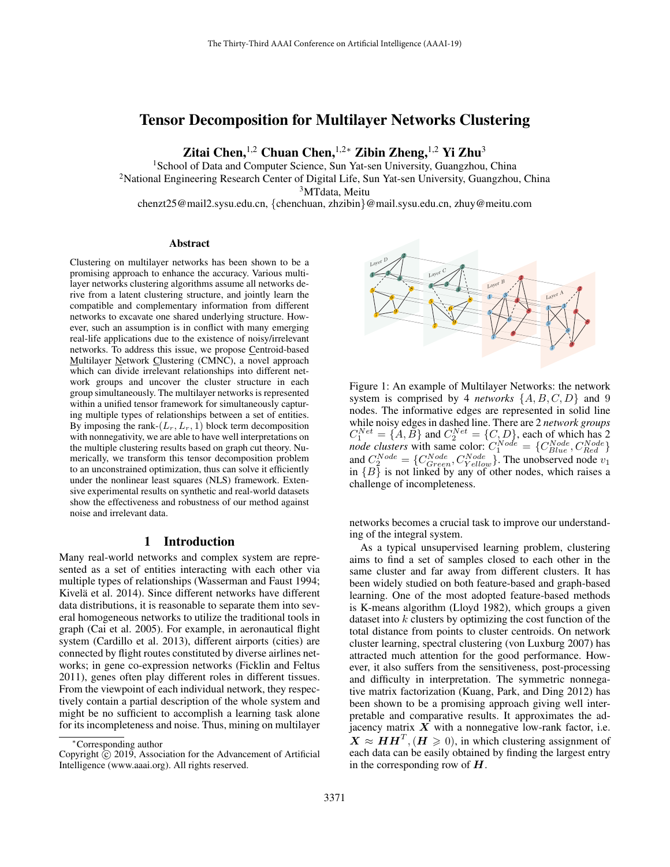# Tensor Decomposition for Multilayer Networks Clustering

Zitai Chen,<sup>1,2</sup> Chuan Chen,<sup>1,2</sup>\* Zibin Zheng,<sup>1,2</sup> Yi Zhu<sup>3</sup>

<sup>1</sup> School of Data and Computer Science, Sun Yat-sen University, Guangzhou, China <sup>2</sup>National Engineering Research Center of Digital Life, Sun Yat-sen University, Guangzhou, China <sup>3</sup>MTdata, Meitu chenzt25@mail2.sysu.edu.cn, {chenchuan, zhzibin}@mail.sysu.edu.cn, zhuy@meitu.com

#### Abstract

Clustering on multilayer networks has been shown to be a promising approach to enhance the accuracy. Various multilayer networks clustering algorithms assume all networks derive from a latent clustering structure, and jointly learn the compatible and complementary information from different networks to excavate one shared underlying structure. However, such an assumption is in conflict with many emerging real-life applications due to the existence of noisy/irrelevant networks. To address this issue, we propose Centroid-based Multilayer Network Clustering (CMNC), a novel approach which can divide irrelevant relationships into different network groups and uncover the cluster structure in each group simultaneously. The multilayer networks is represented within a unified tensor framework for simultaneously capturing multiple types of relationships between a set of entities. By imposing the rank- $(L_r, L_r, 1)$  block term decomposition with nonnegativity, we are able to have well interpretations on the multiple clustering results based on graph cut theory. Numerically, we transform this tensor decomposition problem to an unconstrained optimization, thus can solve it efficiently under the nonlinear least squares (NLS) framework. Extensive experimental results on synthetic and real-world datasets show the effectiveness and robustness of our method against noise and irrelevant data.

# 1 Introduction

Many real-world networks and complex system are represented as a set of entities interacting with each other via multiple types of relationships (Wasserman and Faust 1994; Kivelä et al. 2014). Since different networks have different data distributions, it is reasonable to separate them into several homogeneous networks to utilize the traditional tools in graph (Cai et al. 2005). For example, in aeronautical flight system (Cardillo et al. 2013), different airports (cities) are connected by flight routes constituted by diverse airlines networks; in gene co-expression networks (Ficklin and Feltus 2011), genes often play different roles in different tissues. From the viewpoint of each individual network, they respectively contain a partial description of the whole system and might be no sufficient to accomplish a learning task alone for its incompleteness and noise. Thus, mining on multilayer



Figure 1: An example of Multilayer Networks: the network system is comprised by 4 *networks*  $\{A, B, C, D\}$  and 9 nodes. The informative edges are represented in solid line while noisy edges in dashed line. There are 2 *network groups*  $C_1^{Net} = \{A, B\}$  and  $C_2^{Net} = \{C, D\}$ , each of which has 2 *node clusters* with same color:  $C_1^{Node} = \{C_{Blue}^{Node}, C_{Red}^{Node}\}$ and  $C_2^{Node} = \{C_{Green}^{Node}, C_{Yellow}^{Node}\}$ . The unobserved node  $v_1$ in  ${B}$  is not linked by any of other nodes, which raises a challenge of incompleteness.

networks becomes a crucial task to improve our understanding of the integral system.

As a typical unsupervised learning problem, clustering aims to find a set of samples closed to each other in the same cluster and far away from different clusters. It has been widely studied on both feature-based and graph-based learning. One of the most adopted feature-based methods is K-means algorithm (Lloyd 1982), which groups a given dataset into  $k$  clusters by optimizing the cost function of the total distance from points to cluster centroids. On network cluster learning, spectral clustering (von Luxburg 2007) has attracted much attention for the good performance. However, it also suffers from the sensitiveness, post-processing and difficulty in interpretation. The symmetric nonnegative matrix factorization (Kuang, Park, and Ding 2012) has been shown to be a promising approach giving well interpretable and comparative results. It approximates the adjacency matrix  $X$  with a nonnegative low-rank factor, i.e.  $\mathbf{X} \approx \mathbf{H} \mathbf{H}^T$ ,  $(\mathbf{H} \geq 0)$ , in which clustering assignment of each data can be easily obtained by finding the largest entry in the corresponding row of  $H$ .

<sup>∗</sup>Corresponding author

Copyright  $\hat{C}$  2019, Association for the Advancement of Artificial Intelligence (www.aaai.org). All rights reserved.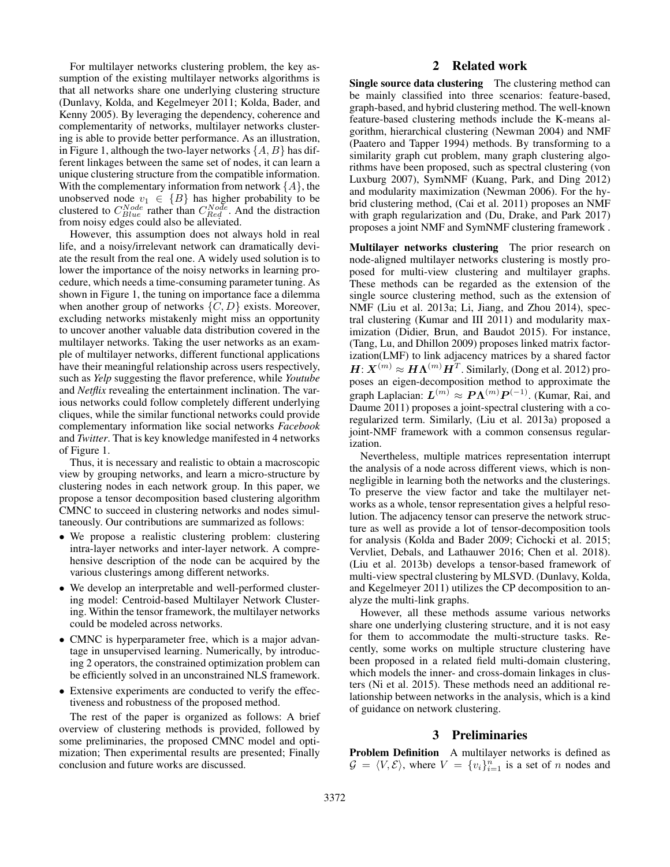For multilayer networks clustering problem, the key assumption of the existing multilayer networks algorithms is that all networks share one underlying clustering structure (Dunlavy, Kolda, and Kegelmeyer 2011; Kolda, Bader, and Kenny 2005). By leveraging the dependency, coherence and complementarity of networks, multilayer networks clustering is able to provide better performance. As an illustration, in Figure 1, although the two-layer networks  $\{A, B\}$  has different linkages between the same set of nodes, it can learn a unique clustering structure from the compatible information. With the complementary information from network  $\{A\}$ , the unobserved node  $v_1 \in \{B\}$  has higher probability to be clustered to  $C_{Blue}^{Node}$  rather than  $C_{Red}^{Node}$ . And the distraction from noisy edges could also be alleviated.

However, this assumption does not always hold in real life, and a noisy/irrelevant network can dramatically deviate the result from the real one. A widely used solution is to lower the importance of the noisy networks in learning procedure, which needs a time-consuming parameter tuning. As shown in Figure 1, the tuning on importance face a dilemma when another group of networks  $\{C, D\}$  exists. Moreover, excluding networks mistakenly might miss an opportunity to uncover another valuable data distribution covered in the multilayer networks. Taking the user networks as an example of multilayer networks, different functional applications have their meaningful relationship across users respectively, such as *Yelp* suggesting the flavor preference, while *Youtube* and *Netflix* revealing the entertainment inclination. The various networks could follow completely different underlying cliques, while the similar functional networks could provide complementary information like social networks *Facebook* and *Twitter*. That is key knowledge manifested in 4 networks of Figure 1.

Thus, it is necessary and realistic to obtain a macroscopic view by grouping networks, and learn a micro-structure by clustering nodes in each network group. In this paper, we propose a tensor decomposition based clustering algorithm CMNC to succeed in clustering networks and nodes simultaneously. Our contributions are summarized as follows:

- We propose a realistic clustering problem: clustering intra-layer networks and inter-layer network. A comprehensive description of the node can be acquired by the various clusterings among different networks.
- We develop an interpretable and well-performed clustering model: Centroid-based Multilayer Network Clustering. Within the tensor framework, the multilayer networks could be modeled across networks.
- CMNC is hyperparameter free, which is a major advantage in unsupervised learning. Numerically, by introducing 2 operators, the constrained optimization problem can be efficiently solved in an unconstrained NLS framework.
- Extensive experiments are conducted to verify the effectiveness and robustness of the proposed method.

The rest of the paper is organized as follows: A brief overview of clustering methods is provided, followed by some preliminaries, the proposed CMNC model and optimization; Then experimental results are presented; Finally conclusion and future works are discussed.

# 2 Related work

Single source data clustering The clustering method can be mainly classified into three scenarios: feature-based, graph-based, and hybrid clustering method. The well-known feature-based clustering methods include the K-means algorithm, hierarchical clustering (Newman 2004) and NMF (Paatero and Tapper 1994) methods. By transforming to a similarity graph cut problem, many graph clustering algorithms have been proposed, such as spectral clustering (von Luxburg 2007), SymNMF (Kuang, Park, and Ding 2012) and modularity maximization (Newman 2006). For the hybrid clustering method, (Cai et al. 2011) proposes an NMF with graph regularization and (Du, Drake, and Park 2017) proposes a joint NMF and SymNMF clustering framework .

Multilayer networks clustering The prior research on node-aligned multilayer networks clustering is mostly proposed for multi-view clustering and multilayer graphs. These methods can be regarded as the extension of the single source clustering method, such as the extension of NMF (Liu et al. 2013a; Li, Jiang, and Zhou 2014), spectral clustering (Kumar and III 2011) and modularity maximization (Didier, Brun, and Baudot 2015). For instance, (Tang, Lu, and Dhillon 2009) proposes linked matrix factorization(LMF) to link adjacency matrices by a shared factor  $H: X^{(m)} \approx H \Lambda^{(m)} H^T$ . Similarly, (Dong et al. 2012) proposes an eigen-decomposition method to approximate the graph Laplacian:  $\boldsymbol{L}^{(m)} \approx \boldsymbol{P}\boldsymbol{\Lambda}^{(m)}\boldsymbol{P}^{(-1)}$ . (Kumar, Rai, and Daume 2011) proposes a joint-spectral clustering with a coregularized term. Similarly, (Liu et al. 2013a) proposed a joint-NMF framework with a common consensus regularization.

Nevertheless, multiple matrices representation interrupt the analysis of a node across different views, which is nonnegligible in learning both the networks and the clusterings. To preserve the view factor and take the multilayer networks as a whole, tensor representation gives a helpful resolution. The adjacency tensor can preserve the network structure as well as provide a lot of tensor-decomposition tools for analysis (Kolda and Bader 2009; Cichocki et al. 2015; Vervliet, Debals, and Lathauwer 2016; Chen et al. 2018). (Liu et al. 2013b) develops a tensor-based framework of multi-view spectral clustering by MLSVD. (Dunlavy, Kolda, and Kegelmeyer 2011) utilizes the CP decomposition to analyze the multi-link graphs.

However, all these methods assume various networks share one underlying clustering structure, and it is not easy for them to accommodate the multi-structure tasks. Recently, some works on multiple structure clustering have been proposed in a related field multi-domain clustering, which models the inner- and cross-domain linkages in clusters (Ni et al. 2015). These methods need an additional relationship between networks in the analysis, which is a kind of guidance on network clustering.

## 3 Preliminaries

Problem Definition A multilayer networks is defined as  $\mathcal{G} = \langle V, \mathcal{E} \rangle$ , where  $V = \{v_i\}_{i=1}^n$  is a set of n nodes and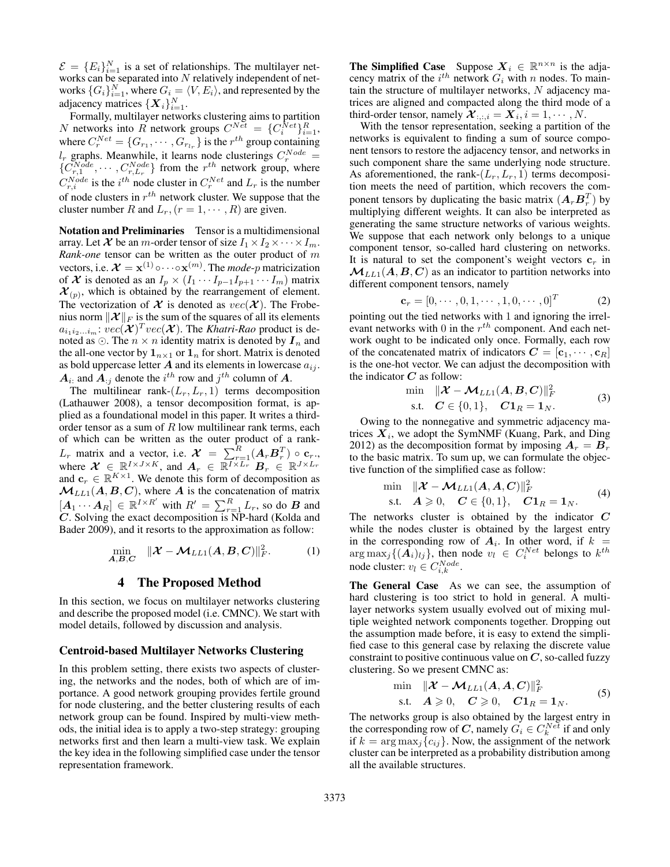$\mathcal{E} = \{E_i\}_{i=1}^N$  is a set of relationships. The multilayer networks can be separated into  $N$  relatively independent of networks  $\{G_i\}_{i=1}^N$ , where  $G_i = \langle V, E_i \rangle$ , and represented by the adjacency matrices  $\{\boldsymbol{X}_i\}_{i=1}^N$ .

Formally, multilayer networks clustering aims to partition N networks into R network groups  $C^{Net} = \{C_i^{Net}\}_{i=1}^R$ , where  $C_r^{Net} = \{G_{r_1}, \dots, G_{r_{l_r}}\}$  is the  $r^{th}$  group containing  $l_r$  graphs. Meanwhile, it learns node clusterings  $C_r^{Node} =$  $\{C_{r,1}^{Node}, \cdots, C_{r,L_r}^{Node}\}\$  from the  $r^{th}$  network group, where  $C_{r,i}^{Node}$  is the  $i^{th}$  node cluster in  $C_r^{Net}$  and  $L_r$  is the number of node clusters in  $r^{th}$  network cluster. We suppose that the cluster number R and  $L_r$ ,  $(r = 1, \dots, R)$  are given.

Notation and Preliminaries Tensor is a multidimensional array. Let  $\mathcal X$  be an m-order tensor of size  $I_1 \times I_2 \times \cdots \times I_m$ . *Rank-one* tensor can be written as the outer product of m vectors, i.e.  $\mathcal{X} = \mathbf{x}^{(1)} \circ \cdots \circ \mathbf{x}^{(m)}$ . The *mode-p* matricization of X is denoted as an  $I_p \times (I_1 \cdots I_{p-1} I_{p+1} \cdots I_m)$  matrix  $\mathcal{X}_{(p)}$ , which is obtained by the rearrangement of element. The vectorization of  $\mathcal X$  is denoted as  $vec(\mathcal X)$ . The Frobenius norm  $\|\mathcal{X}\|_F$  is the sum of the squares of all its elements  $a_{i_1 i_2...i_m}$ :  $vec(\mathcal{X})^T vec(\mathcal{X})$ . The *Khatri-Rao* product is denoted as  $\odot$ . The  $n \times n$  identity matrix is denoted by  $\mathbf{I}_n$  and the all-one vector by  $\mathbf{1}_{n\times 1}$  or  $\mathbf{1}_n$  for short. Matrix is denoted as bold uppercase letter  $A$  and its elements in lowercase  $a_{ij}$ .  $A_{i}$  and  $A_{:j}$  denote the  $i^{th}$  row and  $j^{th}$  column of A.

The multilinear rank- $(L_r, L_r, 1)$  terms decomposition (Lathauwer 2008), a tensor decomposition format, is applied as a foundational model in this paper. It writes a thirdorder tensor as a sum of  $R$  low multilinear rank terms, each of which can be written as the outer product of a rank- $L_r$  matrix and a vector, i.e.  $\mathcal{X} = \sum_{r=1}^{R} (A_r B_r^T) \circ \mathbf{c}_r$ . where  $\mathcal{X} \in \mathbb{R}^{I \times J \times K}$ , and  $A_r \in \mathbb{R}^{I \times L_r}$   $B_r \in \mathbb{R}^{J \times L_r}$ and  $\mathbf{c}_r \in \mathbb{R}^{K \times 1}$ . We denote this form of decomposition as  $M_{LL1}(A, B, C)$ , where A is the concatenation of matrix  $[A_1 \cdots A_R] \in \mathbb{R}^{I \times R'}$  with  $R' = \sum_{r=1}^R L_r$ , so do  $B$  and  $\overrightarrow{C}$ . Solving the exact decomposition is NP-hard (Kolda and Bader 2009), and it resorts to the approximation as follow:

$$
\min_{\mathbf{A}, \mathbf{B}, \mathbf{C}} \quad \|\mathbf{X} - \mathbf{M}_{LL1}(\mathbf{A}, \mathbf{B}, \mathbf{C})\|_{F}^{2}.\tag{1}
$$

### 4 The Proposed Method

In this section, we focus on multilayer networks clustering and describe the proposed model (i.e. CMNC). We start with model details, followed by discussion and analysis.

### Centroid-based Multilayer Networks Clustering

In this problem setting, there exists two aspects of clustering, the networks and the nodes, both of which are of importance. A good network grouping provides fertile ground for node clustering, and the better clustering results of each network group can be found. Inspired by multi-view methods, the initial idea is to apply a two-step strategy: grouping networks first and then learn a multi-view task. We explain the key idea in the following simplified case under the tensor representation framework.

**The Simplified Case** Suppose  $X_i \in \mathbb{R}^{n \times n}$  is the adjacency matrix of the  $i^{th}$  network  $G_i$  with n nodes. To maintain the structure of multilayer networks,  $N$  adjacency matrices are aligned and compacted along the third mode of a third-order tensor, namely  $\mathcal{X}_{:,:,i} = \mathcal{X}_i, i = 1, \cdots, N$ .

With the tensor representation, seeking a partition of the networks is equivalent to finding a sum of source component tensors to restore the adjacency tensor, and networks in such component share the same underlying node structure. As aforementioned, the rank- $(L_r, L_r, 1)$  terms decomposition meets the need of partition, which recovers the component tensors by duplicating the basic matrix  $(A_rB_r^T)$  by multiplying different weights. It can also be interpreted as generating the same structure networks of various weights. We suppose that each network only belongs to a unique component tensor, so-called hard clustering on networks. It is natural to set the component's weight vectors  $c_r$  in  $\mathcal{M}_{LL1}(A, B, C)$  as an indicator to partition networks into different component tensors, namely

$$
\mathbf{c}_r = [0, \cdots, 0, 1, \cdots, 1, 0, \cdots, 0]^T
$$
 (2)

pointing out the tied networks with 1 and ignoring the irrelevant networks with 0 in the  $r^{th}$  component. And each network ought to be indicated only once. Formally, each row of the concatenated matrix of indicators  $\mathbf{C} = [\mathbf{c}_1, \cdots, \mathbf{c}_R]$ is the one-hot vector. We can adjust the decomposition with the indicator  $C$  as follow:

$$
\min_{\mathbf{S}.\mathbf{t}} \quad \|\boldsymbol{\mathcal{X}} - \boldsymbol{\mathcal{M}}_{LL1}(\boldsymbol{A}, \boldsymbol{B}, \boldsymbol{C})\|_{F}^{2} \n\text{s.t.} \quad \boldsymbol{C} \in \{0, 1\}, \quad \boldsymbol{C} \mathbf{1}_{R} = \mathbf{1}_{N}.
$$
\n(3)

Owing to the nonnegative and symmetric adjacency matrices  $X_i$ , we adopt the SymNMF (Kuang, Park, and Ding 2012) as the decomposition format by imposing  $A_r = B_r$ to the basic matrix. To sum up, we can formulate the objective function of the simplified case as follow:

$$
\min_{\mathbf{S}.\mathbf{t}} \quad \|\boldsymbol{\mathcal{X}} - \boldsymbol{\mathcal{M}}_{LL1}(\boldsymbol{A}, \boldsymbol{A}, \boldsymbol{C})\|_{F}^{2}
$$
\n
$$
\text{s.t.} \quad \boldsymbol{A} \geqslant 0, \quad \boldsymbol{C} \in \{0, 1\}, \quad \boldsymbol{C} \mathbf{1}_{R} = \mathbf{1}_{N}. \tag{4}
$$

The networks cluster is obtained by the indicator  $C$ while the nodes cluster is obtained by the largest entry in the corresponding row of  $A_i$ . In other word, if  $k =$  $\arg \max_j \{ (\hat{A_i})_{lj} \}$ , then node  $v_l \in C^{Net}_i$  belongs to  $k^{th}$ node cluster:  $v_l \in C_{i,k}^{Node}$ .

The General Case As we can see, the assumption of hard clustering is too strict to hold in general. A multilayer networks system usually evolved out of mixing multiple weighted network components together. Dropping out the assumption made before, it is easy to extend the simplified case to this general case by relaxing the discrete value constraint to positive continuous value on  $C$ , so-called fuzzy clustering. So we present CMNC as:

$$
\min_{\mathbf{S}.\mathbf{t}} \quad \|\boldsymbol{\mathcal{X}} - \boldsymbol{\mathcal{M}}_{LL1}(\boldsymbol{A}, \boldsymbol{A}, \boldsymbol{C})\|_{F}^{2}
$$
\n
$$
\text{s.t.} \quad \boldsymbol{A} \geqslant 0, \quad \boldsymbol{C} \geqslant 0, \quad \boldsymbol{C} \mathbf{1}_{R} = \mathbf{1}_{N}. \tag{5}
$$

The networks group is also obtained by the largest entry in the corresponding row of C, namely  $G_i \in C_k^{Ne^t}$  if and only if  $k = \arg \max_j \{c_{ij}\}\)$ . Now, the assignment of the network cluster can be interpreted as a probability distribution among all the available structures.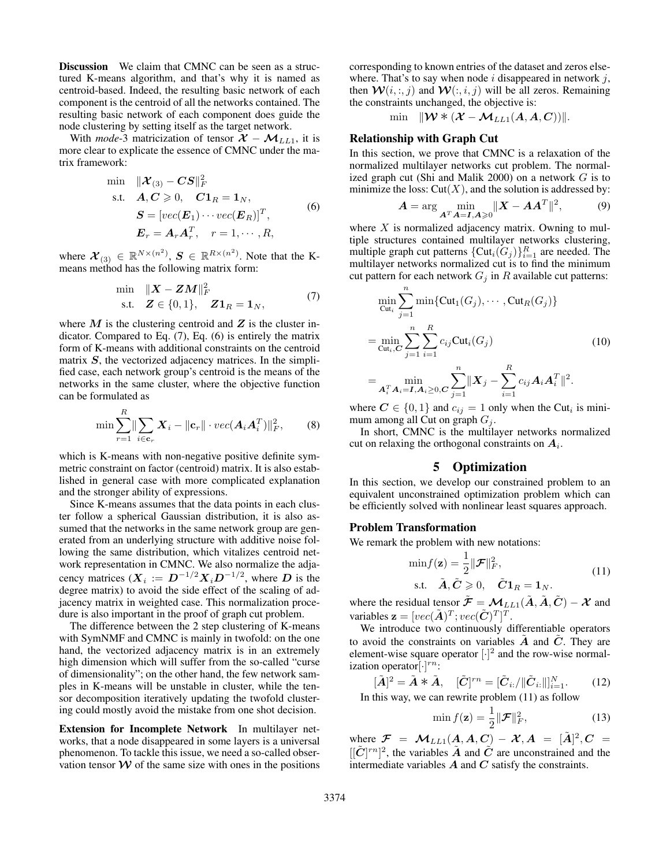Discussion We claim that CMNC can be seen as a structured K-means algorithm, and that's why it is named as centroid-based. Indeed, the resulting basic network of each component is the centroid of all the networks contained. The resulting basic network of each component does guide the node clustering by setting itself as the target network.

With *mode*-3 matricization of tensor  $X - M_{LL1}$ , it is more clear to explicate the essence of CMNC under the matrix framework:

$$
\begin{aligned}\n\min & \quad \|\mathcal{X}_{(3)} - CS\|_F^2 \\
\text{s.t.} & \quad \mathbf{A}, \mathbf{C} \geqslant 0, \quad \mathbf{C} \mathbf{1}_R = \mathbf{1}_N, \\
& \quad \mathbf{S} = \left[ vec(\mathbf{E}_1) \cdots vec(\mathbf{E}_R) \right]^T, \\
& \quad \mathbf{E}_r = \mathbf{A}_r \mathbf{A}_r^T, \quad r = 1, \cdots, R,\n\end{aligned}\n\tag{6}
$$

where  $\mathcal{X}_{(3)} \in \mathbb{R}^{N \times (n^2)}$ ,  $\mathcal{S} \in \mathbb{R}^{R \times (n^2)}$ . Note that the Kmeans method has the following matrix form:

$$
\begin{array}{ll}\n\min & \|X - ZM\|_F^2 \\
\text{s.t.} & Z \in \{0, 1\}, \quad Z\mathbf{1}_R = \mathbf{1}_N,\n\end{array} \tag{7}
$$

where  $M$  is the clustering centroid and  $Z$  is the cluster indicator. Compared to Eq. (7), Eq. (6) is entirely the matrix form of K-means with additional constraints on the centroid matrix  $S$ , the vectorized adjacency matrices. In the simplified case, each network group's centroid is the means of the networks in the same cluster, where the objective function can be formulated as

$$
\min \sum_{r=1}^{R} \|\sum_{i \in \mathbf{c}_r} \mathbf{X}_i - \|\mathbf{c}_r\| \cdot vec(\mathbf{A}_i \mathbf{A}_i^T) \|_F^2, \qquad (8)
$$

which is K-means with non-negative positive definite symmetric constraint on factor (centroid) matrix. It is also established in general case with more complicated explanation and the stronger ability of expressions.

Since K-means assumes that the data points in each cluster follow a spherical Gaussian distribution, it is also assumed that the networks in the same network group are generated from an underlying structure with additive noise following the same distribution, which vitalizes centroid network representation in CMNC. We also normalize the adjacency matrices  $(X_i := D^{-1/2} X_i D^{-1/2}$ , where D is the degree matrix) to avoid the side effect of the scaling of adjacency matrix in weighted case. This normalization procedure is also important in the proof of graph cut problem.

The difference between the 2 step clustering of K-means with SymNMF and CMNC is mainly in twofold: on the one hand, the vectorized adjacency matrix is in an extremely high dimension which will suffer from the so-called "curse of dimensionality"; on the other hand, the few network samples in K-means will be unstable in cluster, while the tensor decomposition iteratively updating the twofold clustering could mostly avoid the mistake from one shot decision.

Extension for Incomplete Network In multilayer networks, that a node disappeared in some layers is a universal phenomenon. To tackle this issue, we need a so-called observation tensor  $W$  of the same size with ones in the positions corresponding to known entries of the dataset and zeros elsewhere. That's to say when node  $i$  disappeared in network  $j$ , then  $W(i, :, j)$  and  $W(:, i, j)$  will be all zeros. Remaining the constraints unchanged, the objective is:

min  $\mathbb{W} * (\mathcal{X} - \mathcal{M}_{LL1}(A, A, C))$ k.

# Relationship with Graph Cut

In this section, we prove that CMNC is a relaxation of the normalized multilayer networks cut problem. The normalized graph cut (Shi and Malik 2000) on a network  $G$  is to minimize the loss:  $Cut(X)$ , and the solution is addressed by:

$$
A = \arg\min_{A^T A = I, A \ge 0} \|X - AA^T\|^2, \tag{9}
$$

where  $X$  is normalized adjacency matrix. Owning to multiple structures contained multilayer networks clustering, multiple graph cut patterns  $\{Cut_i(G_j)\}_{i=1}^R$  are needed. The multilayer networks normalized cut is to find the minimum cut pattern for each network  $G_i$  in R available cut patterns:

$$
\min_{\text{Cut}_i} \sum_{j=1}^n \min \{ \text{Cut}_1(G_j), \cdots, \text{Cut}_R(G_j) \}
$$
\n
$$
= \min_{\text{Cut}_i, C} \sum_{j=1}^n \sum_{i=1}^R c_{ij} \text{Cut}_i(G_j)
$$
\n
$$
= \min_{\text{cut}_i, C} \sum_{j=1}^n \|\mathbf{X}_j - \sum_{i=1}^R c_{ij} \mathbf{A}_i \mathbf{A}_i^T \|^2.
$$
\n(10)

 $=\min_{\boldsymbol{A}_i^T\boldsymbol{A}_i=\boldsymbol{I},\boldsymbol{A}_i\geq 0,\boldsymbol{C}}$  $j=1$  $i=1$ where  $C \in \{0, 1\}$  and  $c_{ij} = 1$  only when the Cut<sub>i</sub> is mini-

mum among all Cut on graph  $G_j$ . In short, CMNC is the multilayer networks normalized cut on relaxing the orthogonal constraints on  $A_i$ .

### 5 Optimization

In this section, we develop our constrained problem to an equivalent unconstrained optimization problem which can be efficiently solved with nonlinear least squares approach.

### Problem Transformation

We remark the problem with new notations:

$$
\min f(\mathbf{z}) = \frac{1}{2} \|\mathcal{F}\|_{F}^{2},
$$
  
s.t.  $\tilde{\mathbf{A}}, \tilde{\mathbf{C}} \ge 0, \tilde{\mathbf{C}} \mathbf{1}_{R} = \mathbf{1}_{N}.$  (11)

where the residual tensor  $\tilde{\mathcal{F}} = \mathcal{M}_{LL1}(\tilde{A}, \tilde{A}, \tilde{C}) - \mathcal{X}$  and variables  $\mathbf{z} = [vec(\tilde{A})^T; vec(\tilde{C})^T]^T$ .

We introduce two continuously differentiable operators to avoid the constraints on variables  $A$  and  $C$ . They are element-wise square operator  $[\cdot]^2$  and the row-wise normalization operator $[\cdot]^{rn}$ :

$$
[\tilde{A}]^2 = \tilde{A} \ast \tilde{A}, \quad [\tilde{C}]^{rn} = [\tilde{C}_{i:}/\|\tilde{C}_{i:}\|_{i=1}^N.
$$
\nIn this way, we can rewrite problem (11) as follow

$$
\min f(\mathbf{z}) = \frac{1}{2} \|\mathcal{F}\|_F^2, \tag{13}
$$

where  $\mathcal{F} = \mathcal{M}_{LL1}(A, A, C) - \mathcal{X}, A = [\tilde{A}]^2, C =$  $[[\tilde{C}]^{rn}]^2$ , the variables  $\tilde{A}$  and  $\tilde{C}$  are unconstrained and the intermediate variables  $A$  and  $C$  satisfy the constraints.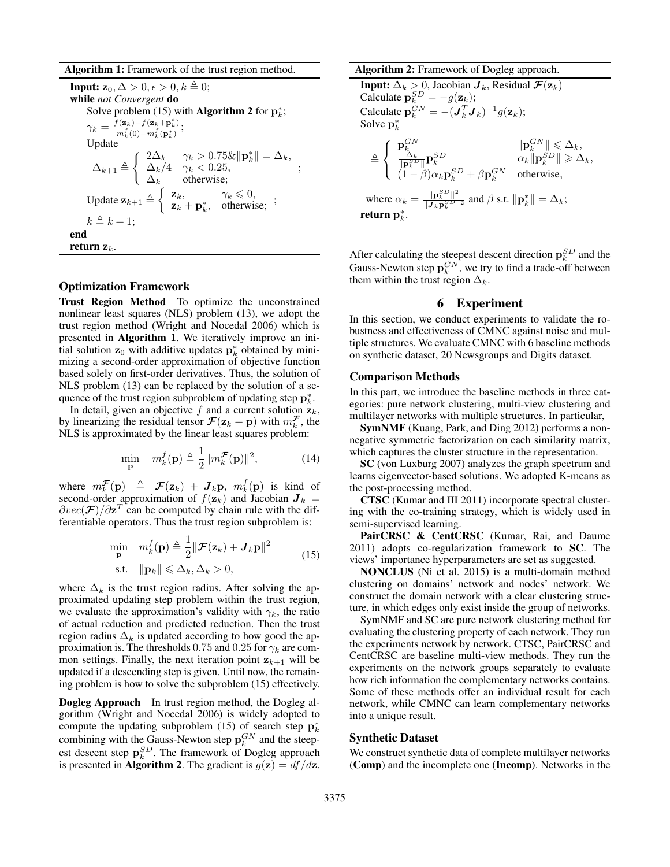Algorithm 1: Framework of the trust region method.

**Input:**  $z_0, \Delta > 0, \epsilon > 0, k \triangleq 0;$ while *not Convergent* do Solve problem (15) with **Algorithm 2** for  $\mathbf{p}_k^*$ ;  $\gamma_k = \frac{f(\mathbf{z}_k) - f(\mathbf{z}_k + \mathbf{p}_k^*)}{m^f(0) - m^f(\mathbf{p}^*)}$  $\frac{m_k^f(0)-m_k^f(\mathbf{p}_k^*)}{m_k^f(0)-m_k^f(\mathbf{p}_k^*)};$ Update  $\Delta_{k+1} \triangleq$  $\left\| \begin{array}{ll} 2\Delta_k & \gamma_k > 0.75\&\|\mathbf{p}_k^*\| = \Delta_k, \end{array} \right.$  $\Delta_k/4$   $\gamma_k < 0.25$ ,  $\Delta_k$  otherwise; ; Update  $\mathbf{z}_{k+1} \triangleq \begin{cases} \mathbf{z}_k, & \gamma_k \leq 0, \\ \mathbf{z}_k, & \text{otherwise} \end{cases}$  $\mathbf{z}_k$ ,  $\mathbf{p}_k^*$ , otherwise; ;  $k \triangleq k + 1;$ end return  $z_k$ .

### Optimization Framework

Trust Region Method To optimize the unconstrained nonlinear least squares (NLS) problem (13), we adopt the trust region method (Wright and Nocedal 2006) which is presented in Algorithm 1. We iteratively improve an initial solution  $z_0$  with additive updates  $p_k^*$  obtained by minimizing a second-order approximation of objective function based solely on first-order derivatives. Thus, the solution of NLS problem (13) can be replaced by the solution of a sequence of the trust region subproblem of updating step  $p_k^*$ .

In detail, given an objective f and a current solution  $z_k$ , by linearizing the residual tensor  $\mathcal{F}(\mathbf{z}_k + \mathbf{p})$  with  $m_k^{\mathcal{F}}$ , the NLS is approximated by the linear least squares problem:

$$
\min_{\mathbf{p}} \quad m_k^f(\mathbf{p}) \triangleq \frac{1}{2} ||m_k^{\mathcal{F}}(\mathbf{p})||^2, \tag{14}
$$

where  $m_k^{\mathcal{F}}(\mathbf{p}) \triangleq \mathcal{F}(\mathbf{z}_k) + \mathcal{J}_k \mathbf{p}, m_k^f(\mathbf{p})$  is kind of second-order approximation of  $f(\mathbf{z}_k)$  and Jacobian  $\mathbf{J}_k =$  $\partial vec(\mathcal{F})/\partial \mathbf{z}^T$  can be computed by chain rule with the differentiable operators. Thus the trust region subproblem is:

$$
\min_{\mathbf{p}} \quad m_k^f(\mathbf{p}) \triangleq \frac{1}{2} ||\mathcal{F}(\mathbf{z}_k) + \mathbf{J}_k \mathbf{p}||^2
$$
\n
$$
\text{s.t.} \quad ||\mathbf{p}_k|| \leq \Delta_k, \Delta_k > 0,
$$
\n
$$
(15)
$$

where  $\Delta_k$  is the trust region radius. After solving the approximated updating step problem within the trust region, we evaluate the approximation's validity with  $\gamma_k$ , the ratio of actual reduction and predicted reduction. Then the trust region radius  $\Delta_k$  is updated according to how good the approximation is. The thresholds 0.75 and 0.25 for  $\gamma_k$  are common settings. Finally, the next iteration point  $z_{k+1}$  will be updated if a descending step is given. Until now, the remaining problem is how to solve the subproblem (15) effectively.

Dogleg Approach In trust region method, the Dogleg algorithm (Wright and Nocedal 2006) is widely adopted to compute the updating subproblem (15) of search step  $p_k^*$ combining with the Gauss-Newton step  $p_k^{GN}$  and the steepest descent step  $p_k^{SD}$ . The framework of Dogleg approach is presented in **Algorithm 2**. The gradient is  $g(z) = df/dz$ .

#### Algorithm 2: Framework of Dogleg approach.

**Input:**  $\Delta_k > 0$ , Jacobian  $\boldsymbol{J}_k$ , Residual  $\boldsymbol{\mathcal{F}}(\mathbf{z}_k)$ Calculate  $p_k^{SD} = -g(\mathbf{z}_k);$ Calculate  $\mathbf{p}_k^{GN} = -(\boldsymbol{J}_k^T\boldsymbol{J}_k)^{-1}g(\mathbf{z}_k);$ Solve  $\mathbf{p}_k^*$  $\triangleq$  $\sqrt{ }$  $\int$  $\mathcal{L}$  $\frac{\mathbf{p}_k^{GN}}{\|\mathbf{p}_k^{SD}\|}\mathbf{p}_k^{SD} \qquad \qquad \begin{array}{l} \|\mathbf{p}_k^{GN}\| \leqslant \Delta_k, \\ \alpha_k \|\mathbf{p}_k^{SD}\| \geqslant \Delta_k, \\ \alpha_k \|\mathbf{p}_k^{SD}\| \geqslant \Delta_k, \end{array}$  $(1 - \beta)\alpha_k \mathbf{p}_k^{SD} + \beta \mathbf{p}_k^{GN}$  otherwise, where  $\alpha_k = \frac{\|\mathbf{p}_k^{SD}\|^2}{\|\mathbf{J}_k\mathbf{p}_k^{SD}\|}$  $\frac{\|\mathbf{p}_k^{\otimes E}\|^2}{\|\mathbf{J}_k\mathbf{p}_k^{\otimes D}\|^2}$  and  $\beta$  s.t.  $\|\mathbf{p}_k^*\| = \Delta_k$ ; return  ${\bf p}^*_k$ . k

After calculating the steepest descent direction  $p_k^{SD}$  and the Gauss-Newton step  $p_k^{GN}$ , we try to find a trade-off between them within the trust region  $\Delta_k$ .

# 6 Experiment

In this section, we conduct experiments to validate the robustness and effectiveness of CMNC against noise and multiple structures. We evaluate CMNC with 6 baseline methods on synthetic dataset, 20 Newsgroups and Digits dataset.

### Comparison Methods

In this part, we introduce the baseline methods in three categories: pure network clustering, multi-view clustering and multilayer networks with multiple structures. In particular,

SymNMF (Kuang, Park, and Ding 2012) performs a nonnegative symmetric factorization on each similarity matrix, which captures the cluster structure in the representation.

SC (von Luxburg 2007) analyzes the graph spectrum and learns eigenvector-based solutions. We adopted K-means as the post-processing method.

CTSC (Kumar and III 2011) incorporate spectral clustering with the co-training strategy, which is widely used in semi-supervised learning.

PairCRSC & CentCRSC (Kumar, Rai, and Daume  $2011$ ) adopts co-regularization framework to **SC**. The views' importance hyperparameters are set as suggested.

NONCLUS (Ni et al. 2015) is a multi-domain method clustering on domains' network and nodes' network. We construct the domain network with a clear clustering structure, in which edges only exist inside the group of networks.

SymNMF and SC are pure network clustering method for evaluating the clustering property of each network. They run the experiments network by network. CTSC, PairCRSC and CentCRSC are baseline multi-view methods. They run the experiments on the network groups separately to evaluate how rich information the complementary networks contains. Some of these methods offer an individual result for each network, while CMNC can learn complementary networks into a unique result.

### Synthetic Dataset

We construct synthetic data of complete multilayer networks (Comp) and the incomplete one (Incomp). Networks in the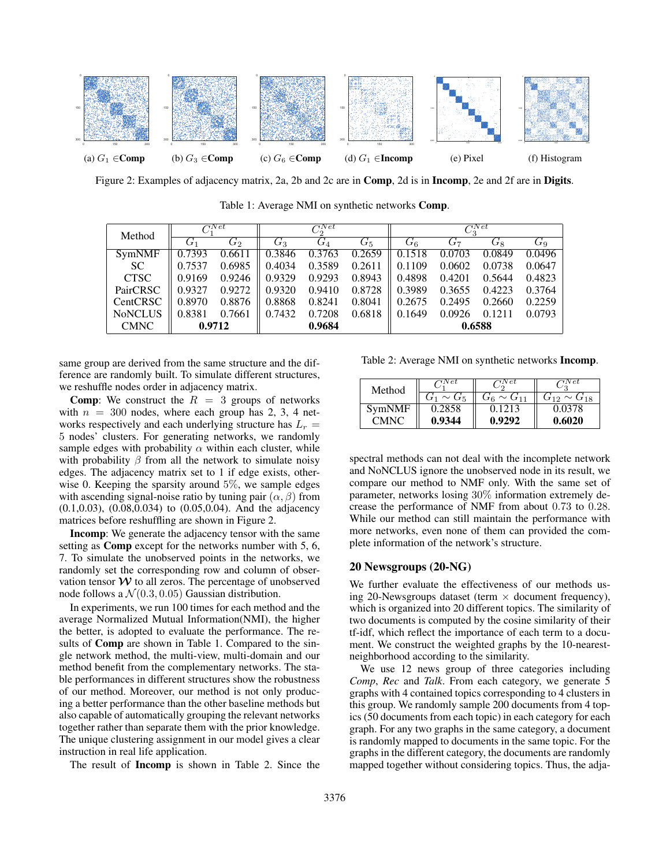

Figure 2: Examples of adjacency matrix, 2a, 2b and 2c are in **Comp**, 2d is in **Incomp**, 2e and 2f are in **Digits**.

Table 1: Average NMI on synthetic networks Comp.

| Method         | $\curvearrowright$ |                  | $C_2^{\text{Net}}$ |                  |             | $C_3^{Net}$      |        |        |        |
|----------------|--------------------|------------------|--------------------|------------------|-------------|------------------|--------|--------|--------|
|                | G1                 | $\overline{G_2}$ | $G_{3}$            | $\overline{G_4}$ | $G_{\rm 5}$ | $\overline{G_6}$ | $G_7$  | $G_8$  | $G_9$  |
| <b>SymNMF</b>  | 0.7393             | 0.6611           | 0.3846             | 0.3763           | 0.2659      | 0.1518           | 0.0703 | 0.0849 | 0.0496 |
| SC.            | 0.7537             | 0.6985           | 0.4034             | 0.3589           | 0.2611      | 0.1109           | 0.0602 | 0.0738 | 0.0647 |
| <b>CTSC</b>    | 0.9169             | 0.9246           | 0.9329             | 0.9293           | 0.8943      | 0.4898           | 0.4201 | 0.5644 | 0.4823 |
| PairCRSC       | 0.9327             | 0.9272           | 0.9320             | 0.9410           | 0.8728      | 0.3989           | 0.3655 | 0.4223 | 0.3764 |
| CentCRSC       | 0.8970             | 0.8876           | 0.8868             | 0.8241           | 0.8041      | 0.2675           | 0.2495 | 0.2660 | 0.2259 |
| <b>NoNCLUS</b> | 0.8381             | 0.7661           | 0.7432             | 0.7208           | 0.6818      | 0.1649           | 0.0926 | 0.1211 | 0.0793 |
| <b>CMNC</b>    | 0.9712             |                  | 0.9684             |                  |             | 0.6588           |        |        |        |

same group are derived from the same structure and the difference are randomly built. To simulate different structures, we reshuffle nodes order in adjacency matrix.

**Comp:** We construct the  $R = 3$  groups of networks with  $n = 300$  nodes, where each group has 2, 3, 4 networks respectively and each underlying structure has  $L<sub>r</sub>$  = 5 nodes' clusters. For generating networks, we randomly sample edges with probability  $\alpha$  within each cluster, while with probability  $\beta$  from all the network to simulate noisy edges. The adjacency matrix set to 1 if edge exists, otherwise 0. Keeping the sparsity around 5%, we sample edges with ascending signal-noise ratio by tuning pair  $(\alpha, \beta)$  from (0.1,0.03), (0.08,0.034) to (0.05,0.04). And the adjacency matrices before reshuffling are shown in Figure 2.

Incomp: We generate the adjacency tensor with the same setting as Comp except for the networks number with 5, 6, 7. To simulate the unobserved points in the networks, we randomly set the corresponding row and column of observation tensor  $W$  to all zeros. The percentage of unobserved node follows a  $\mathcal{N}(0.3, 0.05)$  Gaussian distribution.

In experiments, we run 100 times for each method and the average Normalized Mutual Information(NMI), the higher the better, is adopted to evaluate the performance. The results of Comp are shown in Table 1. Compared to the single network method, the multi-view, multi-domain and our method benefit from the complementary networks. The stable performances in different structures show the robustness of our method. Moreover, our method is not only producing a better performance than the other baseline methods but also capable of automatically grouping the relevant networks together rather than separate them with the prior knowledge. The unique clustering assignment in our model gives a clear instruction in real life application.

The result of Incomp is shown in Table 2. Since the

Table 2: Average NMI on synthetic networks Incomp.

| Method      | N et             | 'N et             | V et                 |  |
|-------------|------------------|-------------------|----------------------|--|
|             | . $\sim$ G5 $^+$ | $G_6 \sim G_{11}$ | $G_{12} \sim G_{18}$ |  |
| SymNMF      | 0.2858           | 0.1213            | 0.0378               |  |
| <b>CMNC</b> | 0.9344           | 0.9292            | 0.6020               |  |

spectral methods can not deal with the incomplete network and NoNCLUS ignore the unobserved node in its result, we compare our method to NMF only. With the same set of parameter, networks losing 30% information extremely decrease the performance of NMF from about 0.73 to 0.28. While our method can still maintain the performance with more networks, even none of them can provided the complete information of the network's structure.

# 20 Newsgroups (20-NG)

We further evaluate the effectiveness of our methods using 20-Newsgroups dataset (term  $\times$  document frequency), which is organized into 20 different topics. The similarity of two documents is computed by the cosine similarity of their tf-idf, which reflect the importance of each term to a document. We construct the weighted graphs by the 10-nearestneighborhood according to the similarity.

We use 12 news group of three categories including *Comp*, *Rec* and *Talk*. From each category, we generate 5 graphs with 4 contained topics corresponding to 4 clusters in this group. We randomly sample 200 documents from 4 topics (50 documents from each topic) in each category for each graph. For any two graphs in the same category, a document is randomly mapped to documents in the same topic. For the graphs in the different category, the documents are randomly mapped together without considering topics. Thus, the adja-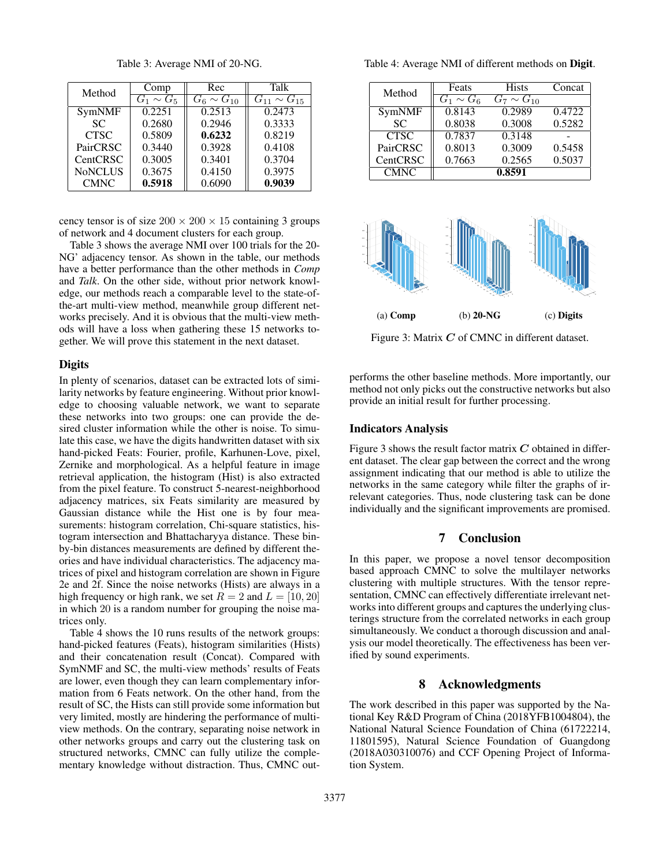Method  $\begin{array}{|c|c|c|c|c|c|c|c|c|}\n\hline\n\text{Method} & \text{Comp} & \text{Rec} & \text{Talk} \\
\hline\n\end{array}$  $\begin{array}{|c|c|c|c|c|c|}\n\hline\nG_1 \sim G_5 & G_6 \sim G_{10} & G_{11} \sim G_{15} \\
\hline\n0.2251 & 0.2513 & 0.2473\n\end{array}$  $SymNMF$  $SC \t 0.2680 \t 0.2946 \t 0.3333$ CTSC  $\parallel$  0.5809  $\parallel$  0.6232  $\parallel$  0.8219 PairCRSC  $\begin{array}{|c|c|c|c|c|c|} \hline 0.3440 & 0.3928 & 0.4108 \hline \end{array}$ CentCRSC 0.3005 0.3401 0.3704<br>NoNCLUS 0.3675 0.4150 0.3975  $NoNCLUS$  0.3675  $CMNC$  0.5918 0.6090 0.9039

Table 3: Average NMI of 20-NG.

cency tensor is of size  $200 \times 200 \times 15$  containing 3 groups of network and 4 document clusters for each group.

Table 3 shows the average NMI over 100 trials for the 20- NG' adjacency tensor. As shown in the table, our methods have a better performance than the other methods in *Comp* and *Talk*. On the other side, without prior network knowledge, our methods reach a comparable level to the state-ofthe-art multi-view method, meanwhile group different networks precisely. And it is obvious that the multi-view methods will have a loss when gathering these 15 networks together. We will prove this statement in the next dataset.

### **Digits**

In plenty of scenarios, dataset can be extracted lots of similarity networks by feature engineering. Without prior knowledge to choosing valuable network, we want to separate these networks into two groups: one can provide the desired cluster information while the other is noise. To simulate this case, we have the digits handwritten dataset with six hand-picked Feats: Fourier, profile, Karhunen-Love, pixel, Zernike and morphological. As a helpful feature in image retrieval application, the histogram (Hist) is also extracted from the pixel feature. To construct 5-nearest-neighborhood adjacency matrices, six Feats similarity are measured by Gaussian distance while the Hist one is by four measurements: histogram correlation, Chi-square statistics, histogram intersection and Bhattacharyya distance. These binby-bin distances measurements are defined by different theories and have individual characteristics. The adjacency matrices of pixel and histogram correlation are shown in Figure 2e and 2f. Since the noise networks (Hists) are always in a high frequency or high rank, we set  $R = 2$  and  $L = [10, 20]$ in which 20 is a random number for grouping the noise matrices only.

Table 4 shows the 10 runs results of the network groups: hand-picked features (Feats), histogram similarities (Hists) and their concatenation result (Concat). Compared with SymNMF and SC, the multi-view methods' results of Feats are lower, even though they can learn complementary information from 6 Feats network. On the other hand, from the result of SC, the Hists can still provide some information but very limited, mostly are hindering the performance of multiview methods. On the contrary, separating noise network in other networks groups and carry out the clustering task on structured networks, CMNC can fully utilize the complementary knowledge without distraction. Thus, CMNC outTable 4: Average NMI of different methods on Digit.

| Method          | Feats          | <b>Hists</b>      | Concat |
|-----------------|----------------|-------------------|--------|
|                 | $G_1 \sim G_6$ | $G_7 \sim G_{10}$ |        |
| SymNMF          | 0.8143         | 0.2989            | 0.4722 |
| <b>SC</b>       | 0.8038         | 0.3008            | 0.5282 |
| <b>CTSC</b>     | 0.7837         | $\sqrt{0.3148}$   |        |
| <b>PairCRSC</b> | 0.8013         | 0.3009            | 0.5458 |
| <b>CentCRSC</b> | 0.7663         | 0.2565            | 0.5037 |
| <b>CMNC</b>     |                | 0.8591            |        |



Figure 3: Matrix  $C$  of CMNC in different dataset.

performs the other baseline methods. More importantly, our method not only picks out the constructive networks but also provide an initial result for further processing.

#### Indicators Analysis

Figure 3 shows the result factor matrix  $C$  obtained in different dataset. The clear gap between the correct and the wrong assignment indicating that our method is able to utilize the networks in the same category while filter the graphs of irrelevant categories. Thus, node clustering task can be done individually and the significant improvements are promised.

# 7 Conclusion

In this paper, we propose a novel tensor decomposition based approach CMNC to solve the multilayer networks clustering with multiple structures. With the tensor representation, CMNC can effectively differentiate irrelevant networks into different groups and captures the underlying clusterings structure from the correlated networks in each group simultaneously. We conduct a thorough discussion and analysis our model theoretically. The effectiveness has been verified by sound experiments.

## 8 Acknowledgments

The work described in this paper was supported by the National Key R&D Program of China (2018YFB1004804), the National Natural Science Foundation of China (61722214, 11801595), Natural Science Foundation of Guangdong (2018A030310076) and CCF Opening Project of Information System.